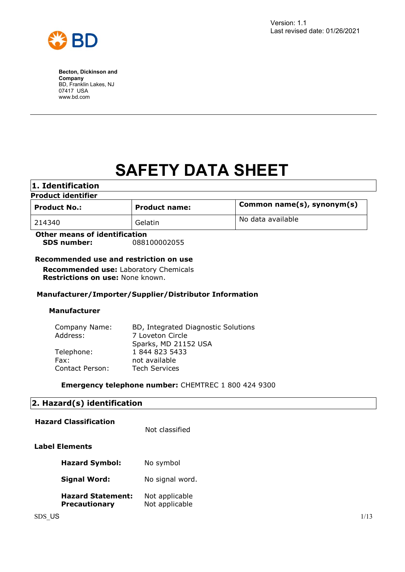

# **SAFETY DATA SHEET**

| 1. Identification             |                      |                            |  |
|-------------------------------|----------------------|----------------------------|--|
| <b>Product identifier</b>     |                      |                            |  |
| <b>Product No.:</b>           | <b>Product name:</b> | Common name(s), synonym(s) |  |
| 214340                        | Gelatin              | No data available          |  |
| Other means of identification |                      |                            |  |

**Other means of identification SDS number:** 088100002055

# **Recommended use and restriction on use**

**Recommended use:** Laboratory Chemicals **Restrictions on use:** None known.

# **Manufacturer/Importer/Supplier/Distributor Information**

## **Manufacturer**

| Company Name:   | BD, Integrated Diagnostic Solutions |  |
|-----------------|-------------------------------------|--|
| Address:        | 7 Loveton Circle                    |  |
|                 | Sparks, MD 21152 USA                |  |
| Telephone:      | 1 844 823 5433                      |  |
| Fax:            | not available                       |  |
| Contact Person: | <b>Tech Services</b>                |  |

## **Emergency telephone number:** CHEMTREC 1 800 424 9300

# **2. Hazard(s) identification**

| <b>Hazard Classification</b>                     | Not classified                   |
|--------------------------------------------------|----------------------------------|
| Label Elements                                   |                                  |
| <b>Hazard Symbol:</b>                            | No symbol                        |
| <b>Signal Word:</b>                              | No signal word.                  |
| <b>Hazard Statement:</b><br><b>Precautionary</b> | Not applicable<br>Not applicable |
|                                                  |                                  |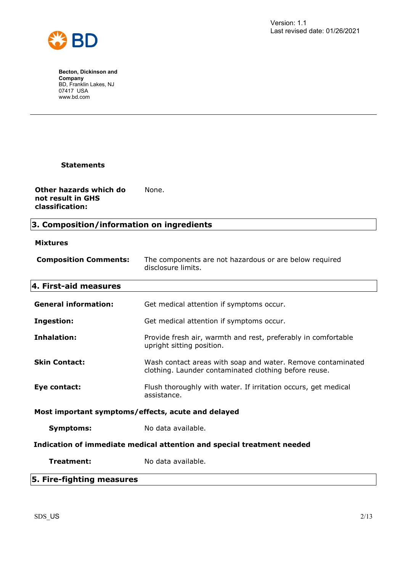

# **Statements**

**Other hazards which do not result in GHS classification:** None.

# **3. Composition/information on ingredients**

# **Mixtures**

| <b>Composition Comments:</b>                                           | The components are not hazardous or are below required<br>disclosure limits.                                         |  |
|------------------------------------------------------------------------|----------------------------------------------------------------------------------------------------------------------|--|
| 4. First-aid measures                                                  |                                                                                                                      |  |
| <b>General information:</b>                                            | Get medical attention if symptoms occur.                                                                             |  |
| <b>Ingestion:</b>                                                      | Get medical attention if symptoms occur.                                                                             |  |
| Inhalation:                                                            | Provide fresh air, warmth and rest, preferably in comfortable<br>upright sitting position.                           |  |
| <b>Skin Contact:</b>                                                   | Wash contact areas with soap and water. Remove contaminated<br>clothing. Launder contaminated clothing before reuse. |  |
| Eye contact:                                                           | Flush thoroughly with water. If irritation occurs, get medical<br>assistance.                                        |  |
| Most important symptoms/effects, acute and delayed                     |                                                                                                                      |  |
| <b>Symptoms:</b>                                                       | No data available.                                                                                                   |  |
| Indication of immediate medical attention and special treatment needed |                                                                                                                      |  |
| Treatment:                                                             | No data available.                                                                                                   |  |
| r riss Calli                                                           |                                                                                                                      |  |

# **5. Fire-fighting measures**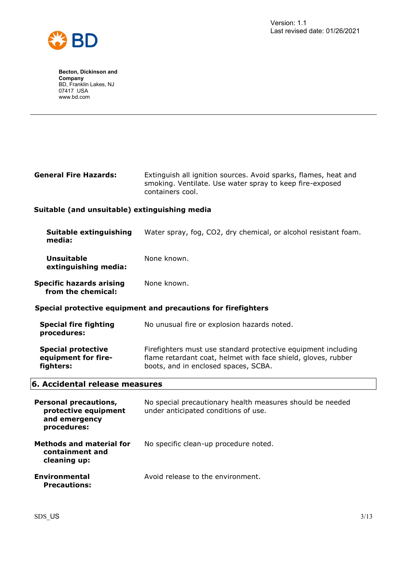

| <b>General Fire Hazards:</b> | Extinguish all ignition sources. Avoid sparks, flames, heat and |
|------------------------------|-----------------------------------------------------------------|
|                              | smoking. Ventilate. Use water spray to keep fire-exposed        |
|                              | containers cool.                                                |

# **Suitable (and unsuitable) extinguishing media**

| Suitable extinguishing<br>media:                              | Water spray, fog, CO2, dry chemical, or alcohol resistant foam. |  |
|---------------------------------------------------------------|-----------------------------------------------------------------|--|
| <b>Unsuitable</b><br>extinguishing media:                     | None known.                                                     |  |
| Specific hazards arising<br>from the chemical:                | None known.                                                     |  |
| Special protective equipment and precautions for firefighters |                                                                 |  |
| <b>Special fire fighting</b><br>procedures:                   | No unusual fire or explosion hazards noted.                     |  |

**Special protective equipment for firefighters:** Firefighters must use standard protective equipment including flame retardant coat, helmet with face shield, gloves, rubber boots, and in enclosed spaces, SCBA.

# **6. Accidental release measures**

| <b>Personal precautions,</b><br>protective equipment<br>and emergency<br>procedures: | No special precautionary health measures should be needed<br>under anticipated conditions of use. |
|--------------------------------------------------------------------------------------|---------------------------------------------------------------------------------------------------|
| <b>Methods and material for</b><br>containment and<br>cleaning up:                   | No specific clean-up procedure noted.                                                             |
| Environmental<br><b>Precautions:</b>                                                 | Avoid release to the environment.                                                                 |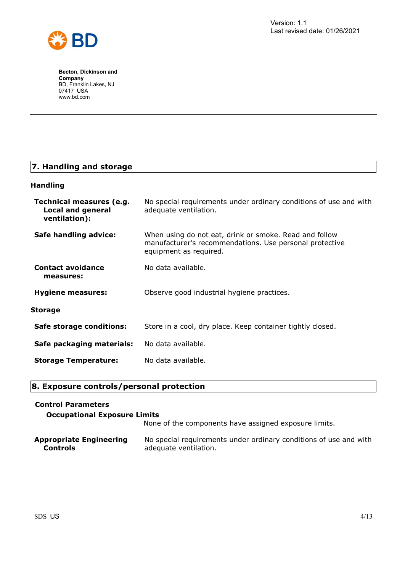

# **7. Handling and storage**

# **Handling**

| Technical measures (e.g.<br><b>Local and general</b><br>ventilation): | No special requirements under ordinary conditions of use and with<br>adequate ventilation.                                                  |
|-----------------------------------------------------------------------|---------------------------------------------------------------------------------------------------------------------------------------------|
| Safe handling advice:                                                 | When using do not eat, drink or smoke. Read and follow<br>manufacturer's recommendations. Use personal protective<br>equipment as required. |
| <b>Contact avoidance</b><br>measures:                                 | No data available.                                                                                                                          |
| <b>Hygiene measures:</b>                                              | Observe good industrial hygiene practices.                                                                                                  |
| Storage                                                               |                                                                                                                                             |
| Safe storage conditions:                                              | Store in a cool, dry place. Keep container tightly closed.                                                                                  |
| Safe packaging materials:                                             | No data available.                                                                                                                          |
| <b>Storage Temperature:</b>                                           | No data available.                                                                                                                          |

# **8. Exposure controls/personal protection**

# **Control Parameters**

# **Occupational Exposure Limits**

None of the components have assigned exposure limits.

| <b>Appropriate Engineering</b> | No special requirements under ordinary conditions of use and with |
|--------------------------------|-------------------------------------------------------------------|
| <b>Controls</b>                | adequate ventilation.                                             |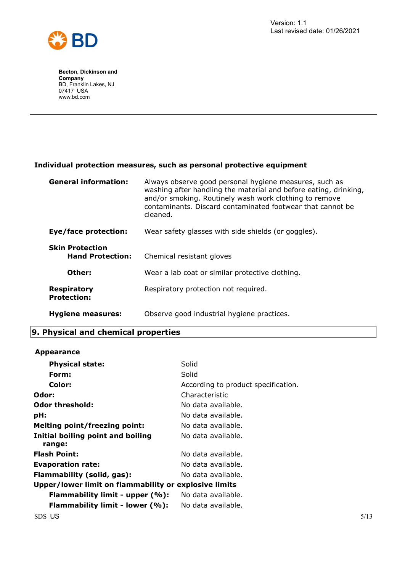

# **Individual protection measures, such as personal protective equipment**

| <b>General information:</b>                       | Always observe good personal hygiene measures, such as<br>washing after handling the material and before eating, drinking,<br>and/or smoking. Routinely wash work clothing to remove<br>contaminants. Discard contaminated footwear that cannot be<br>cleaned. |
|---------------------------------------------------|----------------------------------------------------------------------------------------------------------------------------------------------------------------------------------------------------------------------------------------------------------------|
| Eye/face protection:                              | Wear safety glasses with side shields (or goggles).                                                                                                                                                                                                            |
| <b>Skin Protection</b><br><b>Hand Protection:</b> | Chemical resistant gloves                                                                                                                                                                                                                                      |
| Other:                                            | Wear a lab coat or similar protective clothing.                                                                                                                                                                                                                |
| <b>Respiratory</b><br><b>Protection:</b>          | Respiratory protection not required.                                                                                                                                                                                                                           |
| <b>Hygiene measures:</b>                          | Observe good industrial hygiene practices.                                                                                                                                                                                                                     |

# **9. Physical and chemical properties**

## **Appearance**

| <b>Physical state:</b>                                | Solid                               |      |
|-------------------------------------------------------|-------------------------------------|------|
| Form:                                                 | Solid                               |      |
| Color:                                                | According to product specification. |      |
| Odor:                                                 | Characteristic                      |      |
| <b>Odor threshold:</b>                                | No data available.                  |      |
| pH:                                                   | No data available.                  |      |
| <b>Melting point/freezing point:</b>                  | No data available.                  |      |
| Initial boiling point and boiling<br>range:           | No data available.                  |      |
| <b>Flash Point:</b>                                   | No data available.                  |      |
| <b>Evaporation rate:</b>                              | No data available.                  |      |
| Flammability (solid, gas):                            | No data available.                  |      |
| Upper/lower limit on flammability or explosive limits |                                     |      |
| Flammability limit - upper (%):                       | No data available.                  |      |
| Flammability limit - lower (%):                       | No data available.                  |      |
| SDS US                                                |                                     | 5/13 |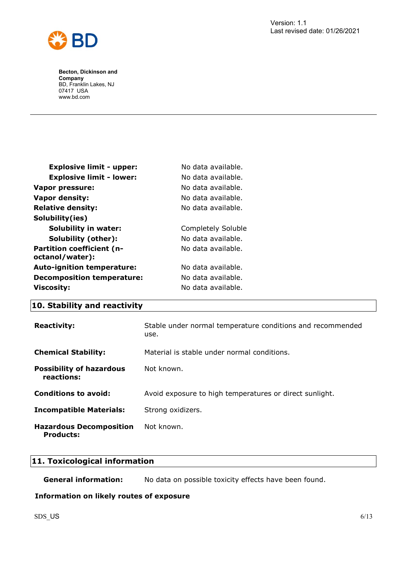

| <b>Explosive limit - upper:</b>                     | No data available. |
|-----------------------------------------------------|--------------------|
| <b>Explosive limit - lower:</b>                     | No data available. |
| Vapor pressure:                                     | No data available. |
| <b>Vapor density:</b>                               | No data available. |
| <b>Relative density:</b>                            | No data available. |
| Solubility(ies)                                     |                    |
| <b>Solubility in water:</b>                         | Completely Soluble |
| Solubility (other):                                 | No data available. |
| <b>Partition coefficient (n-</b><br>octanol/water): | No data available. |
| <b>Auto-ignition temperature:</b>                   | No data available. |
| <b>Decomposition temperature:</b>                   | No data available. |
| <b>Viscosity:</b>                                   | No data available. |

# **10. Stability and reactivity**

| <b>Reactivity:</b>                                 | Stable under normal temperature conditions and recommended<br>use. |
|----------------------------------------------------|--------------------------------------------------------------------|
| <b>Chemical Stability:</b>                         | Material is stable under normal conditions.                        |
| <b>Possibility of hazardous</b><br>reactions:      | Not known.                                                         |
| <b>Conditions to avoid:</b>                        | Avoid exposure to high temperatures or direct sunlight.            |
| <b>Incompatible Materials:</b>                     | Strong oxidizers.                                                  |
| <b>Hazardous Decomposition</b><br><b>Products:</b> | Not known.                                                         |

# **11. Toxicological information**

**General information:** No data on possible toxicity effects have been found.

## **Information on likely routes of exposure**

 $SDS$  US 6/13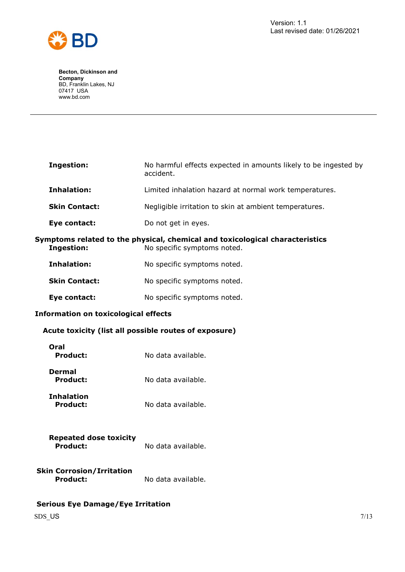



| <b>Ingestion:</b>                                                                                                                | No harmful effects expected in amounts likely to be ingested by<br>accident. |
|----------------------------------------------------------------------------------------------------------------------------------|------------------------------------------------------------------------------|
| <b>Inhalation:</b>                                                                                                               | Limited inhalation hazard at normal work temperatures.                       |
| <b>Skin Contact:</b>                                                                                                             | Negligible irritation to skin at ambient temperatures.                       |
| Eye contact:                                                                                                                     | Do not get in eyes.                                                          |
| Symptoms related to the physical, chemical and toxicological characteristics<br><b>Ingestion:</b><br>No specific symptoms noted. |                                                                              |
| <b>Inhalation:</b>                                                                                                               | No specific symptoms noted.                                                  |
| <b>Skin Contact:</b>                                                                                                             | No specific symptoms noted.                                                  |
| Eye contact:                                                                                                                     | No specific symptoms noted.                                                  |
| <b>Information on toxicological effects</b>                                                                                      |                                                                              |
| Acute toxicity (list all possible routes of exposure)                                                                            |                                                                              |
| Oral<br><b>Product:</b>                                                                                                          | No data available.                                                           |
| <b>Dermal</b><br><b>Product:</b>                                                                                                 | No data available.                                                           |
| <b>Inhalation</b><br><b>Product:</b>                                                                                             | No data available.                                                           |
| <b>Repeated dose toxicity</b><br><b>Product:</b>                                                                                 | No data available.                                                           |

**Skin Corrosion/Irritation** Product: No data available.

# **Serious Eye Damage/Eye Irritation**

 $SDS$  US  $7/13$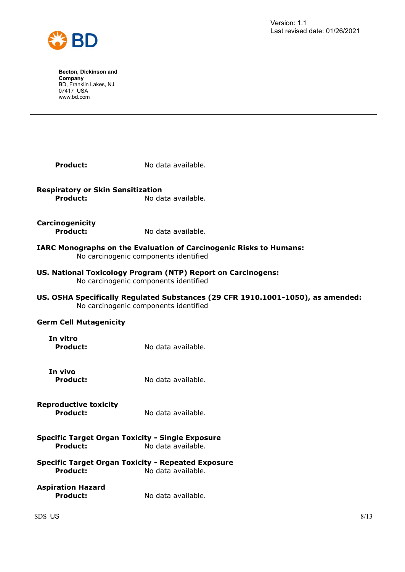

| <b>Product:</b>                                             | No data available.                                                                                                       |  |
|-------------------------------------------------------------|--------------------------------------------------------------------------------------------------------------------------|--|
| <b>Respiratory or Skin Sensitization</b><br><b>Product:</b> | No data available.                                                                                                       |  |
| Carcinogenicity<br><b>Product:</b>                          | No data available.                                                                                                       |  |
|                                                             | <b>IARC Monographs on the Evaluation of Carcinogenic Risks to Humans:</b><br>No carcinogenic components identified       |  |
|                                                             | US. National Toxicology Program (NTP) Report on Carcinogens:<br>No carcinogenic components identified                    |  |
|                                                             | US. OSHA Specifically Regulated Substances (29 CFR 1910.1001-1050), as amended:<br>No carcinogenic components identified |  |
| <b>Germ Cell Mutagenicity</b>                               |                                                                                                                          |  |
| In vitro<br><b>Product:</b>                                 | No data available.                                                                                                       |  |
| In vivo<br><b>Product:</b>                                  | No data available.                                                                                                       |  |
| <b>Reproductive toxicity</b><br>Product:                    | No data available.                                                                                                       |  |
| <b>Product:</b>                                             | <b>Specific Target Organ Toxicity - Single Exposure</b><br>No data available.                                            |  |
| <b>Product:</b>                                             | <b>Specific Target Organ Toxicity - Repeated Exposure</b><br>No data available.                                          |  |

**Aspiration Hazard Product:** No data available.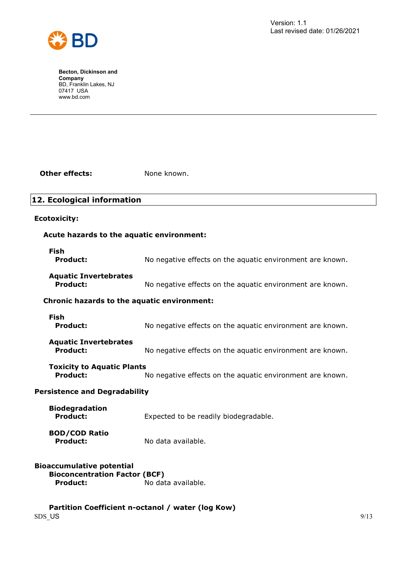

**Other effects:** None known.

# **12. Ecological information**

#### **Ecotoxicity:**

# **Acute hazards to the aquatic environment:**

| Fish            |                                                           |
|-----------------|-----------------------------------------------------------|
| <b>Product:</b> | No negative effects on the aquatic environment are known. |
|                 |                                                           |

# **Aquatic Invertebrates**

**Product:** No negative effects on the aquatic environment are known.

# **Chronic hazards to the aquatic environment:**

| Fish<br><b>Product:</b>      | No negative effects on the aquatic environment are known. |
|------------------------------|-----------------------------------------------------------|
| <b>Aquatic Invertebrates</b> |                                                           |

**Product:** No negative effects on the aquatic environment are known.

**Toxicity to Aquatic Plants**

**Product:** No negative effects on the aquatic environment are known.

# **Persistence and Degradability**

| <b>Biodegradation</b><br><b>Product:</b> | Expected to be readily biodegradable. |
|------------------------------------------|---------------------------------------|
| <b>BOD/COD Ratio</b><br><b>Product:</b>  | No data available.                    |

## **Bioaccumulative potential Bioconcentration Factor (BCF) Product:** No data available.

 $SDS$  US  $9/13$ **Partition Coefficient n-octanol / water (log Kow)**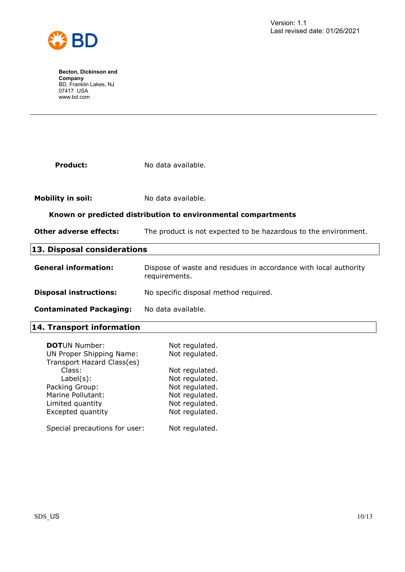

| <b>Product:</b>                                               | No data available.                                                                |
|---------------------------------------------------------------|-----------------------------------------------------------------------------------|
|                                                               |                                                                                   |
|                                                               |                                                                                   |
| <b>Mobility in soil:</b>                                      | No data available.                                                                |
| Known or predicted distribution to environmental compartments |                                                                                   |
| <b>Other adverse effects:</b>                                 | The product is not expected to be hazardous to the environment.                   |
| 13. Disposal considerations                                   |                                                                                   |
| <b>General information:</b>                                   | Dispose of waste and residues in accordance with local authority<br>requirements. |
| <b>Disposal instructions:</b>                                 | No specific disposal method required.                                             |
| <b>Contaminated Packaging:</b>                                | No data available.                                                                |
| 14. Transport information                                     |                                                                                   |

| <b>DOTUN Number:</b>            | Not regulated. |
|---------------------------------|----------------|
| <b>UN Proper Shipping Name:</b> | Not regulated. |
| Transport Hazard Class(es)      |                |
| Class:                          | Not regulated. |
| $Label(s)$ :                    | Not regulated. |
| Packing Group:                  | Not regulated. |
| Marine Pollutant:               | Not regulated. |
| Limited quantity                | Not regulated. |
| Excepted quantity               | Not regulated. |
|                                 |                |
| Special precautions for user:   | Not regulated. |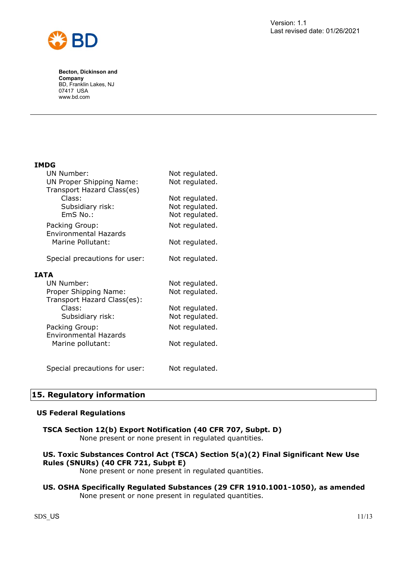

# **IMDG**

| <b>UN Number:</b>                                    | Not regulated. |
|------------------------------------------------------|----------------|
| UN Proper Shipping Name:                             | Not regulated. |
| Transport Hazard Class(es)                           |                |
| Class:                                               | Not regulated. |
| Subsidiary risk:                                     | Not regulated. |
| EmS No.:                                             | Not regulated. |
| Packing Group:<br><b>Environmental Hazards</b>       | Not regulated. |
| Marine Pollutant:                                    | Not regulated. |
| Special precautions for user:                        | Not regulated. |
| IATA                                                 |                |
| <b>UN Number:</b>                                    | Not regulated. |
| Proper Shipping Name:<br>Transport Hazard Class(es): | Not regulated. |
| Class:                                               | Not regulated. |
| Subsidiary risk:                                     | Not regulated. |
| Packing Group:<br><b>Environmental Hazards</b>       | Not regulated. |
| Marine pollutant:                                    | Not regulated. |
| Special precautions for user:                        | Not regulated. |

# **15. Regulatory information**

## **US Federal Regulations**

# **TSCA Section 12(b) Export Notification (40 CFR 707, Subpt. D)**

None present or none present in regulated quantities.

# **US. Toxic Substances Control Act (TSCA) Section 5(a)(2) Final Significant New Use Rules (SNURs) (40 CFR 721, Subpt E)**

None present or none present in regulated quantities.

## **US. OSHA Specifically Regulated Substances (29 CFR 1910.1001-1050), as amended** None present or none present in regulated quantities.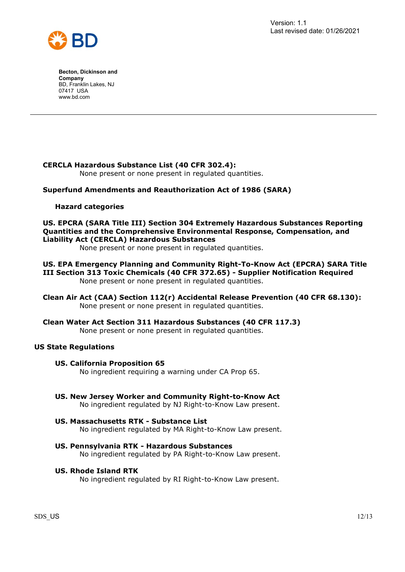

# **CERCLA Hazardous Substance List (40 CFR 302.4):**

None present or none present in regulated quantities.

# **Superfund Amendments and Reauthorization Act of 1986 (SARA)**

## **Hazard categories**

# **US. EPCRA (SARA Title III) Section 304 Extremely Hazardous Substances Reporting Quantities and the Comprehensive Environmental Response, Compensation, and Liability Act (CERCLA) Hazardous Substances**

None present or none present in regulated quantities.

#### **US. EPA Emergency Planning and Community Right-To-Know Act (EPCRA) SARA Title III Section 313 Toxic Chemicals (40 CFR 372.65) - Supplier Notification Required** None present or none present in regulated quantities.

- **Clean Air Act (CAA) Section 112(r) Accidental Release Prevention (40 CFR 68.130):** None present or none present in regulated quantities.
- **Clean Water Act Section 311 Hazardous Substances (40 CFR 117.3)** None present or none present in regulated quantities.

## **US State Regulations**

## **US. California Proposition 65**

No ingredient requiring a warning under CA Prop 65.

**US. New Jersey Worker and Community Right-to-Know Act**

No ingredient regulated by NJ Right-to-Know Law present.

# **US. Massachusetts RTK - Substance List**

No ingredient regulated by MA Right-to-Know Law present.

**US. Pennsylvania RTK - Hazardous Substances** No ingredient regulated by PA Right-to-Know Law present.

## **US. Rhode Island RTK**

No ingredient regulated by RI Right-to-Know Law present.